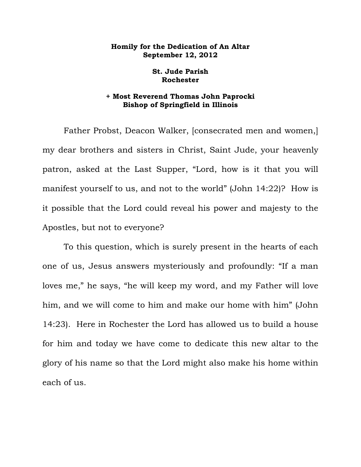## **Homily for the Dedication of An Altar September 12, 2012**

## **St. Jude Parish Rochester**

## **+ Most Reverend Thomas John Paprocki Bishop of Springfield in Illinois**

 Father Probst, Deacon Walker, [consecrated men and women,] my dear brothers and sisters in Christ, Saint Jude, your heavenly patron, asked at the Last Supper, "Lord, how is it that you will manifest yourself to us, and not to the world" (John 14:22)? How is it possible that the Lord could reveal his power and majesty to the Apostles, but not to everyone?

 To this question, which is surely present in the hearts of each one of us, Jesus answers mysteriously and profoundly: "If a man loves me," he says, "he will keep my word, and my Father will love him, and we will come to him and make our home with him" (John 14:23). Here in Rochester the Lord has allowed us to build a house for him and today we have come to dedicate this new altar to the glory of his name so that the Lord might also make his home within each of us.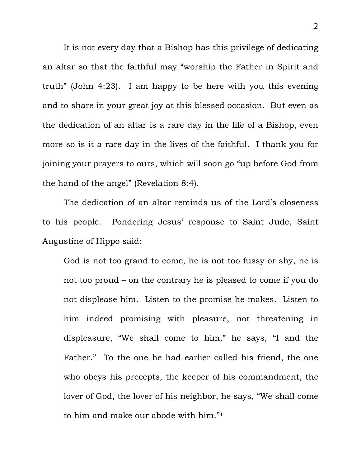It is not every day that a Bishop has this privilege of dedicating an altar so that the faithful may "worship the Father in Spirit and truth" (John 4:23). I am happy to be here with you this evening and to share in your great joy at this blessed occasion. But even as the dedication of an altar is a rare day in the life of a Bishop, even more so is it a rare day in the lives of the faithful. I thank you for joining your prayers to ours, which will soon go "up before God from the hand of the angel" (Revelation 8:4).

The dedication of an altar reminds us of the Lord's closeness to his people. Pondering Jesus' response to Saint Jude, Saint Augustine of Hippo said:

God is not too grand to come, he is not too fussy or shy, he is not too proud – on the contrary he is pleased to come if you do not displease him. Listen to the promise he makes. Listen to him indeed promising with pleasure, not threatening in displeasure, "We shall come to him," he says, "I and the Father." To the one he had earlier called his friend, the one who obeys his precepts, the keeper of his commandment, the lover of God, the lover of his neighbor, he says, "We shall come to him and make our abode with him."1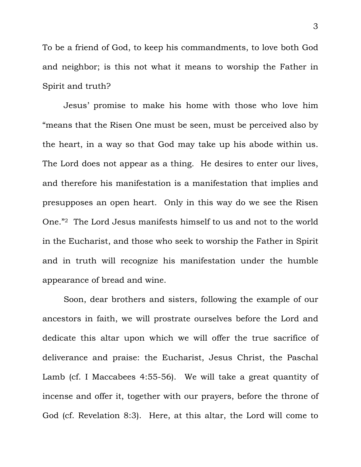To be a friend of God, to keep his commandments, to love both God and neighbor; is this not what it means to worship the Father in Spirit and truth?

 Jesus' promise to make his home with those who love him "means that the Risen One must be seen, must be perceived also by the heart, in a way so that God may take up his abode within us. The Lord does not appear as a thing. He desires to enter our lives, and therefore his manifestation is a manifestation that implies and presupposes an open heart. Only in this way do we see the Risen One."2 The Lord Jesus manifests himself to us and not to the world in the Eucharist, and those who seek to worship the Father in Spirit and in truth will recognize his manifestation under the humble appearance of bread and wine.

 Soon, dear brothers and sisters, following the example of our ancestors in faith, we will prostrate ourselves before the Lord and dedicate this altar upon which we will offer the true sacrifice of deliverance and praise: the Eucharist, Jesus Christ, the Paschal Lamb (cf. I Maccabees 4:55-56). We will take a great quantity of incense and offer it, together with our prayers, before the throne of God (cf. Revelation 8:3). Here, at this altar, the Lord will come to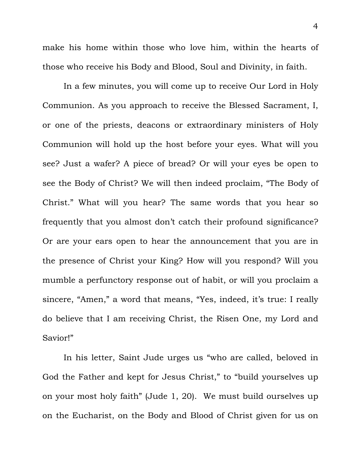make his home within those who love him, within the hearts of those who receive his Body and Blood, Soul and Divinity, in faith.

In a few minutes, you will come up to receive Our Lord in Holy Communion. As you approach to receive the Blessed Sacrament, I, or one of the priests, deacons or extraordinary ministers of Holy Communion will hold up the host before your eyes. What will you see? Just a wafer? A piece of bread? Or will your eyes be open to see the Body of Christ? We will then indeed proclaim, "The Body of Christ." What will you hear? The same words that you hear so frequently that you almost don't catch their profound significance? Or are your ears open to hear the announcement that you are in the presence of Christ your King? How will you respond? Will you mumble a perfunctory response out of habit, or will you proclaim a sincere, "Amen," a word that means, "Yes, indeed, it's true: I really do believe that I am receiving Christ, the Risen One, my Lord and Savior!"

In his letter, Saint Jude urges us "who are called, beloved in God the Father and kept for Jesus Christ," to "build yourselves up on your most holy faith" (Jude 1, 20). We must build ourselves up on the Eucharist, on the Body and Blood of Christ given for us on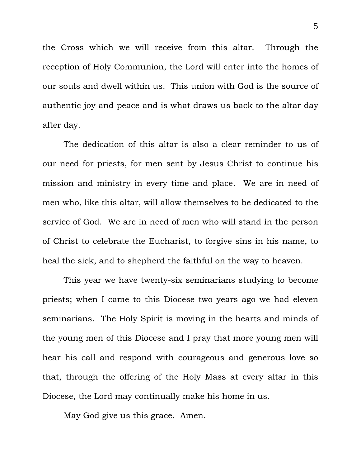the Cross which we will receive from this altar. Through the reception of Holy Communion, the Lord will enter into the homes of our souls and dwell within us. This union with God is the source of authentic joy and peace and is what draws us back to the altar day after day.

The dedication of this altar is also a clear reminder to us of our need for priests, for men sent by Jesus Christ to continue his mission and ministry in every time and place. We are in need of men who, like this altar, will allow themselves to be dedicated to the service of God. We are in need of men who will stand in the person of Christ to celebrate the Eucharist, to forgive sins in his name, to heal the sick, and to shepherd the faithful on the way to heaven.

This year we have twenty-six seminarians studying to become priests; when I came to this Diocese two years ago we had eleven seminarians. The Holy Spirit is moving in the hearts and minds of the young men of this Diocese and I pray that more young men will hear his call and respond with courageous and generous love so that, through the offering of the Holy Mass at every altar in this Diocese, the Lord may continually make his home in us.

May God give us this grace. Amen.